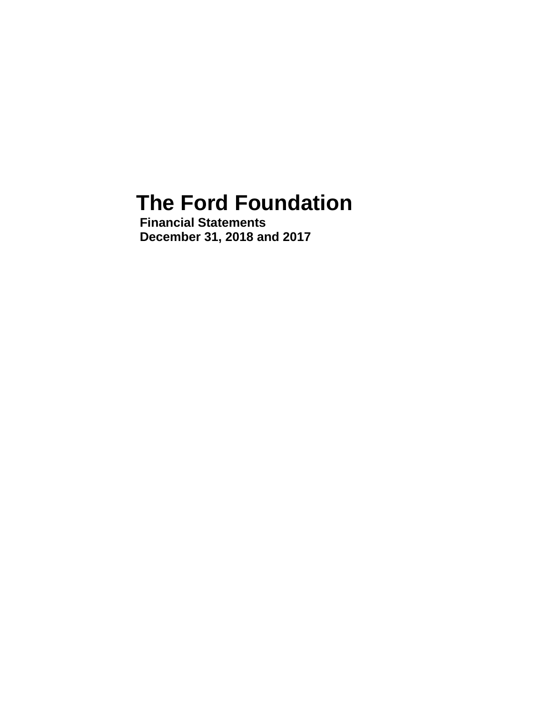# **The Ford Foundation**

**Financial Statements December 31, 2018 and 2017**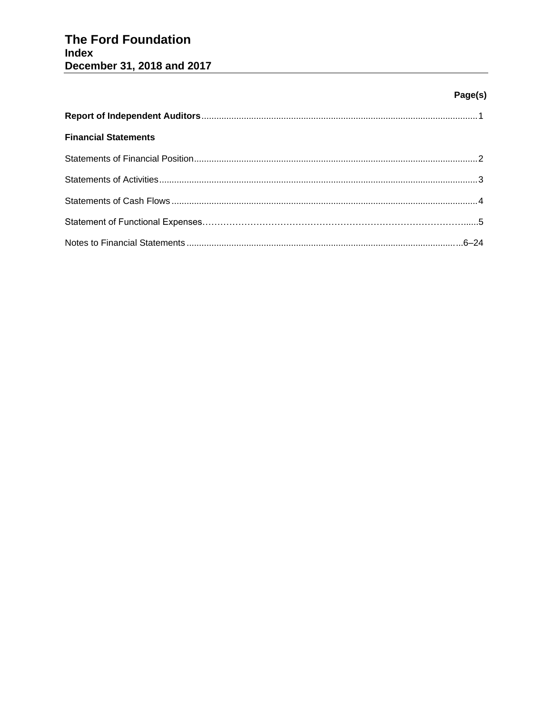# The Ford Foundation **Index** December 31, 2018 and 2017

# Page(s)

| <b>Financial Statements</b> |  |
|-----------------------------|--|
|                             |  |
|                             |  |
|                             |  |
|                             |  |
|                             |  |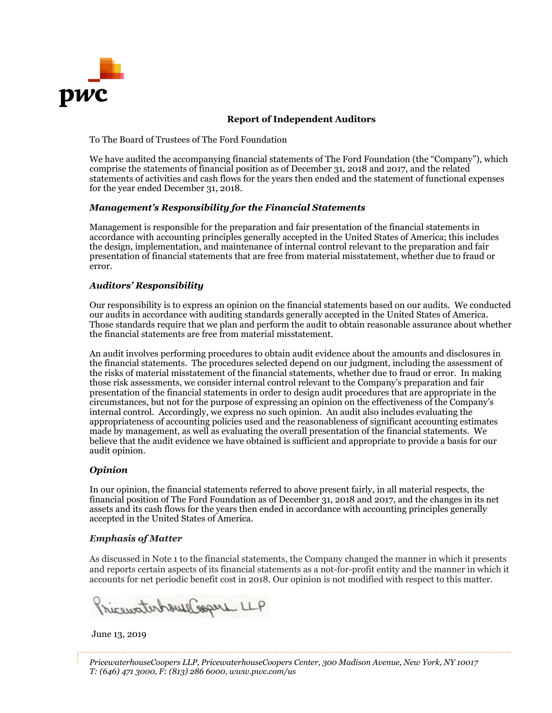

## **Report of Independent Auditors**

To The Board of Trustees of The Ford Foundation

We have audited the accompanying financial statements of The Ford Foundation (the "Company"), which comprise the statements of financial position as of December 31, 2018 and 2017, and the related statements of activities and cash flows for the years then ended and the statement of functional expenses for the year ended December 31, 2018.

#### *Management's Responsibility for the Financial Statements*

Management is responsible for the preparation and fair presentation of the financial statements in accordance with accounting principles generally accepted in the United States of America; this includes the design, implementation, and maintenance of internal control relevant to the preparation and fair presentation of financial statements that are free from material misstatement, whether due to fraud or error.

#### *Auditors' Responsibility*

Our responsibility is to express an opinion on the financial statements based on our audits. We conducted our audits in accordance with auditing standards generally accepted in the United States of America. Those standards require that we plan and perform the audit to obtain reasonable assurance about whether the financial statements are free from material misstatement.

An audit involves performing procedures to obtain audit evidence about the amounts and disclosures in the financial statements. The procedures selected depend on our judgment, including the assessment of the risks of material misstatement of the financial statements, whether due to fraud or error. In making those risk assessments, we consider internal control relevant to the Company's preparation and fair presentation of the financial statements in order to design audit procedures that are appropriate in the circumstances, but not for the purpose of expressing an opinion on the effectiveness of the Company's internal control. Accordingly, we express no such opinion. An audit also includes evaluating the appropriateness of accounting policies used and the reasonableness of significant accounting estimates made by management, as well as evaluating the overall presentation of the financial statements. We believe that the audit evidence we have obtained is sufficient and appropriate to provide a basis for our audit opinion.

# *Opinion*

In our opinion, the financial statements referred to above present fairly, in all material respects, the financial position of The Ford Foundation as of December 31, 2018 and 2017, and the changes in its net assets and its cash flows for the years then ended in accordance with accounting principles generally accepted in the United States of America.

#### *Emphasis of Matter*

As discussed in Note 1 to the financial statements, the Company changed the manner in which it presents and reports certain aspects of its financial statements as a not-for-profit entity and the manner in which it accounts for net periodic benefit cost in 2018. Our opinion is not modified with respect to this matter.

Tricewaterhouse Copers LLP

June 13, 2019

*PricewaterhouseCoopers LLP, PricewaterhouseCoopers Center, 300 Madison Avenue, New York, NY 10017 T: (646) 471 3000, F: (813) 286 6000, www.pwc.com/us*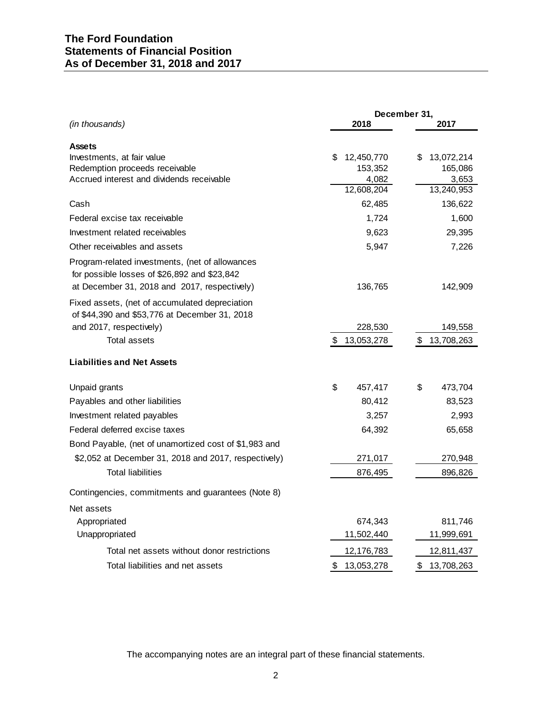|                                                                                                                                                 |                  | December 31,     |
|-------------------------------------------------------------------------------------------------------------------------------------------------|------------------|------------------|
| (in thousands)                                                                                                                                  | 2018             | 2017             |
| <b>Assets</b>                                                                                                                                   |                  |                  |
| Investments, at fair value                                                                                                                      | S<br>12,450,770  | \$<br>13,072,214 |
| Redemption proceeds receivable                                                                                                                  | 153,352          | 165,086          |
| Accrued interest and dividends receivable                                                                                                       | 4,082            | 3,653            |
|                                                                                                                                                 | 12,608,204       | 13,240,953       |
| Cash                                                                                                                                            | 62,485           | 136,622          |
| Federal excise tax receivable                                                                                                                   | 1,724            | 1,600            |
| Investment related receivables                                                                                                                  | 9,623            | 29,395           |
| Other receivables and assets                                                                                                                    | 5,947            | 7,226            |
| Program-related investments, (net of allowances<br>for possible losses of \$26,892 and \$23,842<br>at December 31, 2018 and 2017, respectively) | 136,765          | 142,909          |
| Fixed assets, (net of accumulated depreciation<br>of \$44,390 and \$53,776 at December 31, 2018                                                 |                  |                  |
| and 2017, respectively)                                                                                                                         | 228,530          | 149,558          |
| <b>Total assets</b>                                                                                                                             | \$<br>13,053,278 | 13,708,263<br>\$ |
| <b>Liabilities and Net Assets</b>                                                                                                               |                  |                  |
| Unpaid grants                                                                                                                                   | \$<br>457,417    | \$<br>473,704    |
| Payables and other liabilities                                                                                                                  | 80,412           | 83,523           |
| Investment related payables                                                                                                                     | 3,257            | 2,993            |
| Federal deferred excise taxes                                                                                                                   | 64,392           | 65,658           |
| Bond Payable, (net of unamortized cost of \$1,983 and                                                                                           |                  |                  |
| \$2,052 at December 31, 2018 and 2017, respectively)                                                                                            | 271,017          | 270,948          |
| <b>Total liabilities</b>                                                                                                                        | 876,495          | 896,826          |
| Contingencies, commitments and guarantees (Note 8)                                                                                              |                  |                  |
| Net assets                                                                                                                                      |                  |                  |
| Appropriated                                                                                                                                    | 674,343          | 811,746          |
| Unappropriated                                                                                                                                  | 11,502,440       | 11,999,691       |
| Total net assets without donor restrictions                                                                                                     | 12,176,783       | 12,811,437       |
| Total liabilities and net assets                                                                                                                | \$<br>13,053,278 | \$<br>13,708,263 |

The accompanying notes are an integral part of these financial statements.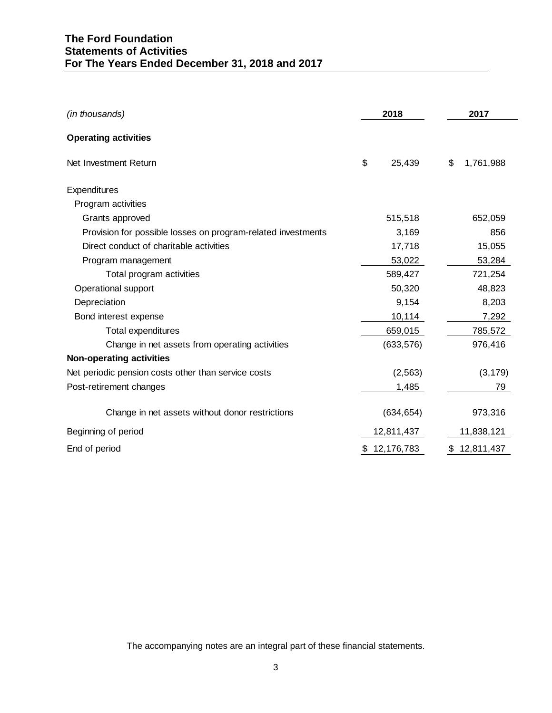# **The Ford Foundation Statements of Activities For The Years Ended December 31, 2018 and 2017**

| (in thousands)                                               | 2018             | 2017            |
|--------------------------------------------------------------|------------------|-----------------|
| <b>Operating activities</b>                                  |                  |                 |
| Net Investment Return                                        | \$<br>25,439     | \$<br>1,761,988 |
| Expenditures                                                 |                  |                 |
| Program activities                                           |                  |                 |
| Grants approved                                              | 515,518          | 652,059         |
| Provision for possible losses on program-related investments | 3,169            | 856             |
| Direct conduct of charitable activities                      | 17,718           | 15,055          |
| Program management                                           | 53,022           | 53,284          |
| Total program activities                                     | 589,427          | 721,254         |
| Operational support                                          | 50,320           | 48,823          |
| Depreciation                                                 | 9,154            | 8,203           |
| Bond interest expense                                        | 10,114           | 7,292           |
| <b>Total expenditures</b>                                    | 659,015          | 785,572         |
| Change in net assets from operating activities               | (633, 576)       | 976,416         |
| <b>Non-operating activities</b>                              |                  |                 |
| Net periodic pension costs other than service costs          | (2, 563)         | (3, 179)        |
| Post-retirement changes                                      | 1,485            | 79              |
| Change in net assets without donor restrictions              | (634, 654)       | 973,316         |
| Beginning of period                                          | 12,811,437       | 11,838,121      |
| End of period                                                | \$<br>12,176,783 | \$12,811,437    |

The accompanying notes are an integral part of these financial statements.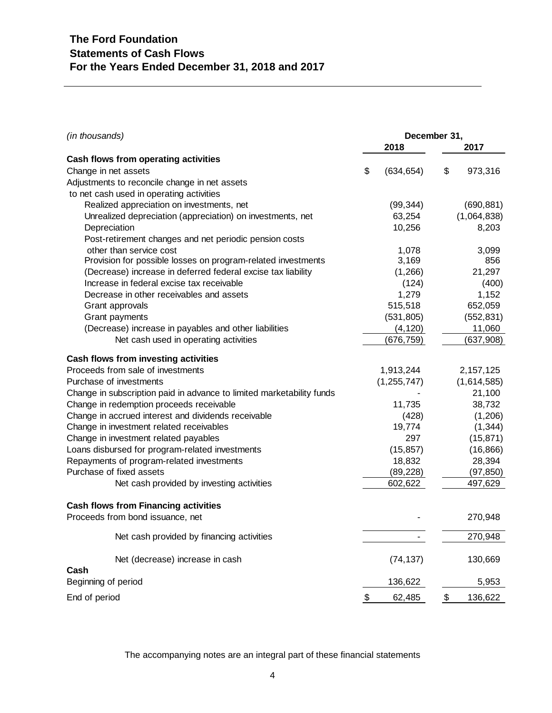| (in thousands)                                                        | December 31,     |               |
|-----------------------------------------------------------------------|------------------|---------------|
|                                                                       | 2018             | 2017          |
| Cash flows from operating activities                                  |                  |               |
| Change in net assets                                                  | \$<br>(634, 654) | \$<br>973,316 |
| Adjustments to reconcile change in net assets                         |                  |               |
| to net cash used in operating activities                              |                  |               |
| Realized appreciation on investments, net                             | (99, 344)        | (690, 881)    |
| Unrealized depreciation (appreciation) on investments, net            | 63,254           | (1,064,838)   |
| Depreciation                                                          | 10,256           | 8,203         |
| Post-retirement changes and net periodic pension costs                |                  |               |
| other than service cost                                               | 1,078            | 3,099         |
| Provision for possible losses on program-related investments          | 3,169            | 856           |
| (Decrease) increase in deferred federal excise tax liability          | (1,266)          | 21,297        |
| Increase in federal excise tax receivable                             | (124)            | (400)         |
| Decrease in other receivables and assets                              | 1,279            | 1,152         |
| Grant approvals                                                       | 515,518          | 652,059       |
| Grant payments                                                        | (531, 805)       | (552, 831)    |
| (Decrease) increase in payables and other liabilities                 | (4, 120)         | 11,060        |
| Net cash used in operating activities                                 | (676, 759)       | (637, 908)    |
| Cash flows from investing activities                                  |                  |               |
| Proceeds from sale of investments                                     | 1,913,244        | 2, 157, 125   |
| Purchase of investments                                               | (1, 255, 747)    | (1,614,585)   |
| Change in subscription paid in advance to limited marketability funds |                  | 21,100        |
| Change in redemption proceeds receivable                              | 11,735           | 38,732        |
| Change in accrued interest and dividends receivable                   | (428)            | (1,206)       |
| Change in investment related receivables                              | 19,774           | (1, 344)      |
| Change in investment related payables                                 | 297              | (15, 871)     |
| Loans disbursed for program-related investments                       | (15, 857)        | (16, 866)     |
| Repayments of program-related investments                             | 18,832           | 28,394        |
| Purchase of fixed assets                                              | (89, 228)        | (97, 850)     |
| Net cash provided by investing activities                             | 602,622          | 497,629       |
|                                                                       |                  |               |
| <b>Cash flows from Financing activities</b>                           |                  |               |
| Proceeds from bond issuance, net                                      |                  | 270,948       |
| Net cash provided by financing activities                             |                  | 270,948       |
| Net (decrease) increase in cash                                       | (74, 137)        | 130,669       |
| Cash                                                                  |                  |               |
| Beginning of period                                                   | 136,622          | 5,953         |
| End of period                                                         | \$<br>62,485     | \$<br>136,622 |

The accompanying notes are an integral part of these financial statements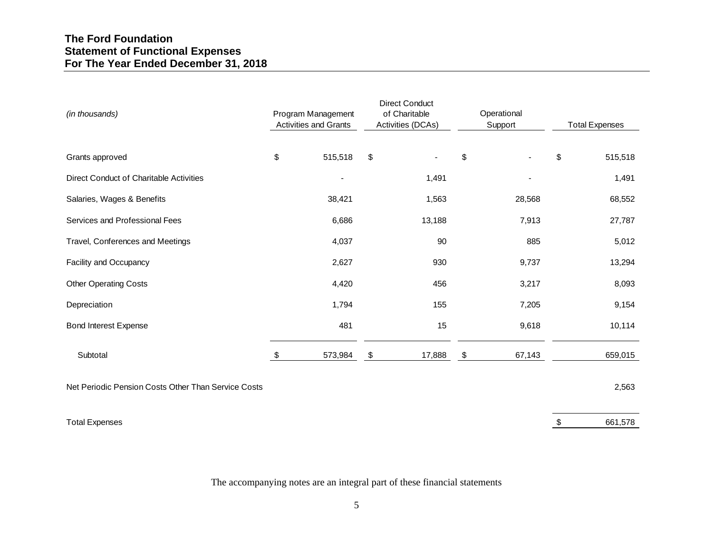| (in thousands)                                      | Program Management<br><b>Activities and Grants</b> |                           | <b>Direct Conduct</b><br>of Charitable<br>Activities (DCAs) | Operational<br>Support   | <b>Total Expenses</b> |         |  |
|-----------------------------------------------------|----------------------------------------------------|---------------------------|-------------------------------------------------------------|--------------------------|-----------------------|---------|--|
| Grants approved                                     | \$<br>515,518                                      | \$                        | $\blacksquare$                                              | \$                       | \$                    | 515,518 |  |
| <b>Direct Conduct of Charitable Activities</b>      | $\overline{\phantom{a}}$                           |                           | 1,491                                                       | $\overline{\phantom{a}}$ |                       | 1,491   |  |
| Salaries, Wages & Benefits                          | 38,421                                             |                           | 1,563                                                       | 28,568                   |                       | 68,552  |  |
| Services and Professional Fees                      | 6,686                                              |                           | 13,188                                                      | 7,913                    |                       | 27,787  |  |
| Travel, Conferences and Meetings                    | 4,037                                              |                           | 90                                                          | 885                      |                       | 5,012   |  |
| Facility and Occupancy                              | 2,627                                              |                           | 930                                                         | 9,737                    |                       | 13,294  |  |
| <b>Other Operating Costs</b>                        | 4,420                                              |                           | 456                                                         | 3,217                    |                       | 8,093   |  |
| Depreciation                                        | 1,794                                              |                           | 155                                                         | 7,205                    |                       | 9,154   |  |
| <b>Bond Interest Expense</b>                        | 481                                                |                           | 15                                                          | 9,618                    |                       | 10,114  |  |
| Subtotal                                            | \$<br>573,984                                      | $\boldsymbol{\mathsf{S}}$ | 17,888                                                      | \$<br>67,143             |                       | 659,015 |  |
| Net Periodic Pension Costs Other Than Service Costs |                                                    |                           |                                                             |                          |                       | 2,563   |  |
| <b>Total Expenses</b>                               |                                                    |                           |                                                             |                          | \$                    | 661,578 |  |

The accompanying notes are an integral part of these financial statements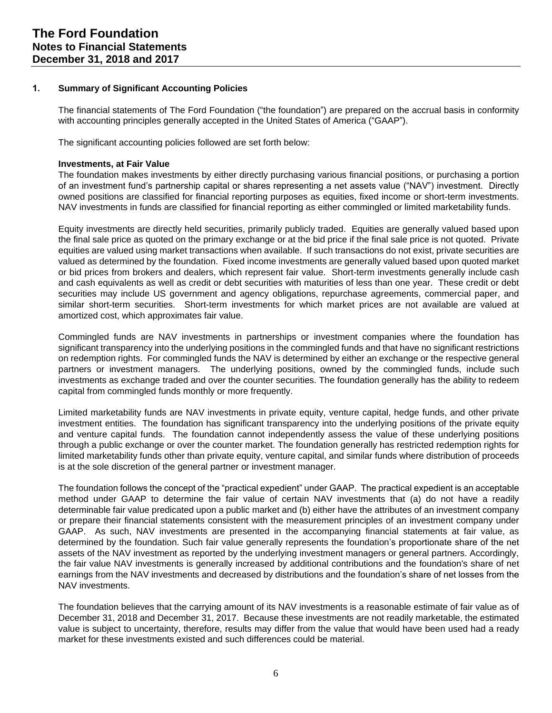#### **1. Summary of Significant Accounting Policies**

The financial statements of The Ford Foundation ("the foundation") are prepared on the accrual basis in conformity with accounting principles generally accepted in the United States of America ("GAAP").

The significant accounting policies followed are set forth below:

#### **Investments, at Fair Value**

The foundation makes investments by either directly purchasing various financial positions, or purchasing a portion of an investment fund's partnership capital or shares representing a net assets value ("NAV") investment. Directly owned positions are classified for financial reporting purposes as equities, fixed income or short-term investments. NAV investments in funds are classified for financial reporting as either commingled or limited marketability funds.

Equity investments are directly held securities, primarily publicly traded. Equities are generally valued based upon the final sale price as quoted on the primary exchange or at the bid price if the final sale price is not quoted. Private equities are valued using market transactions when available. If such transactions do not exist, private securities are valued as determined by the foundation. Fixed income investments are generally valued based upon quoted market or bid prices from brokers and dealers, which represent fair value. Short-term investments generally include cash and cash equivalents as well as credit or debt securities with maturities of less than one year. These credit or debt securities may include US government and agency obligations, repurchase agreements, commercial paper, and similar short-term securities. Short-term investments for which market prices are not available are valued at amortized cost, which approximates fair value.

Commingled funds are NAV investments in partnerships or investment companies where the foundation has significant transparency into the underlying positions in the commingled funds and that have no significant restrictions on redemption rights. For commingled funds the NAV is determined by either an exchange or the respective general partners or investment managers. The underlying positions, owned by the commingled funds, include such investments as exchange traded and over the counter securities. The foundation generally has the ability to redeem capital from commingled funds monthly or more frequently.

Limited marketability funds are NAV investments in private equity, venture capital, hedge funds, and other private investment entities. The foundation has significant transparency into the underlying positions of the private equity and venture capital funds. The foundation cannot independently assess the value of these underlying positions through a public exchange or over the counter market. The foundation generally has restricted redemption rights for limited marketability funds other than private equity, venture capital, and similar funds where distribution of proceeds is at the sole discretion of the general partner or investment manager.

The foundation follows the concept of the "practical expedient" under GAAP. The practical expedient is an acceptable method under GAAP to determine the fair value of certain NAV investments that (a) do not have a readily determinable fair value predicated upon a public market and (b) either have the attributes of an investment company or prepare their financial statements consistent with the measurement principles of an investment company under GAAP. As such, NAV investments are presented in the accompanying financial statements at fair value, as determined by the foundation. Such fair value generally represents the foundation's proportionate share of the net assets of the NAV investment as reported by the underlying investment managers or general partners. Accordingly, the fair value NAV investments is generally increased by additional contributions and the foundation's share of net earnings from the NAV investments and decreased by distributions and the foundation's share of net losses from the NAV investments.

The foundation believes that the carrying amount of its NAV investments is a reasonable estimate of fair value as of December 31, 2018 and December 31, 2017. Because these investments are not readily marketable, the estimated value is subject to uncertainty, therefore, results may differ from the value that would have been used had a ready market for these investments existed and such differences could be material.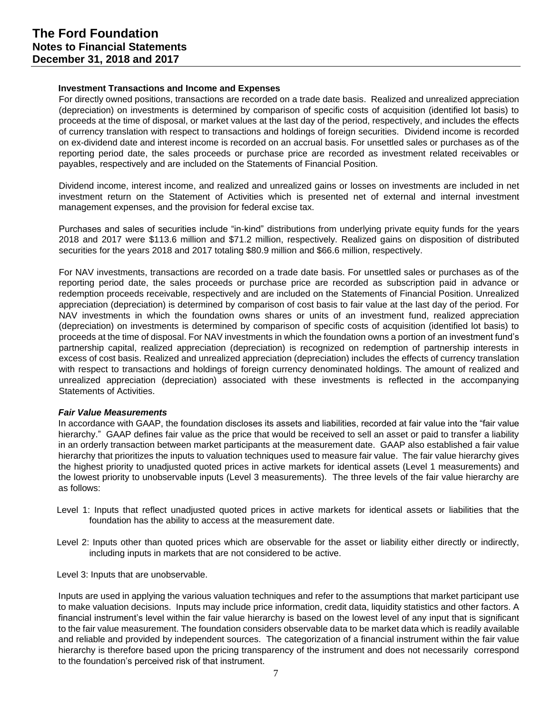#### **Investment Transactions and Income and Expenses**

For directly owned positions, transactions are recorded on a trade date basis. Realized and unrealized appreciation (depreciation) on investments is determined by comparison of specific costs of acquisition (identified lot basis) to proceeds at the time of disposal, or market values at the last day of the period, respectively, and includes the effects of currency translation with respect to transactions and holdings of foreign securities. Dividend income is recorded on ex-dividend date and interest income is recorded on an accrual basis. For unsettled sales or purchases as of the reporting period date, the sales proceeds or purchase price are recorded as investment related receivables or payables, respectively and are included on the Statements of Financial Position.

Dividend income, interest income, and realized and unrealized gains or losses on investments are included in net investment return on the Statement of Activities which is presented net of external and internal investment management expenses, and the provision for federal excise tax.

Purchases and sales of securities include "in-kind" distributions from underlying private equity funds for the years 2018 and 2017 were \$113.6 million and \$71.2 million, respectively. Realized gains on disposition of distributed securities for the years 2018 and 2017 totaling \$80.9 million and \$66.6 million, respectively.

For NAV investments, transactions are recorded on a trade date basis. For unsettled sales or purchases as of the reporting period date, the sales proceeds or purchase price are recorded as subscription paid in advance or redemption proceeds receivable, respectively and are included on the Statements of Financial Position. Unrealized appreciation (depreciation) is determined by comparison of cost basis to fair value at the last day of the period. For NAV investments in which the foundation owns shares or units of an investment fund, realized appreciation (depreciation) on investments is determined by comparison of specific costs of acquisition (identified lot basis) to proceeds at the time of disposal. For NAV investments in which the foundation owns a portion of an investment fund's partnership capital, realized appreciation (depreciation) is recognized on redemption of partnership interests in excess of cost basis. Realized and unrealized appreciation (depreciation) includes the effects of currency translation with respect to transactions and holdings of foreign currency denominated holdings. The amount of realized and unrealized appreciation (depreciation) associated with these investments is reflected in the accompanying Statements of Activities.

#### *Fair Value Measurements*

In accordance with GAAP, the foundation discloses its assets and liabilities, recorded at fair value into the "fair value hierarchy." GAAP defines fair value as the price that would be received to sell an asset or paid to transfer a liability in an orderly transaction between market participants at the measurement date. GAAP also established a fair value hierarchy that prioritizes the inputs to valuation techniques used to measure fair value. The fair value hierarchy gives the highest priority to unadjusted quoted prices in active markets for identical assets (Level 1 measurements) and the lowest priority to unobservable inputs (Level 3 measurements). The three levels of the fair value hierarchy are as follows:

- Level 1: Inputs that reflect unadjusted quoted prices in active markets for identical assets or liabilities that the foundation has the ability to access at the measurement date.
- Level 2: Inputs other than quoted prices which are observable for the asset or liability either directly or indirectly, including inputs in markets that are not considered to be active.
- Level 3: Inputs that are unobservable.

Inputs are used in applying the various valuation techniques and refer to the assumptions that market participant use to make valuation decisions. Inputs may include price information, credit data, liquidity statistics and other factors. A financial instrument's level within the fair value hierarchy is based on the lowest level of any input that is significant to the fair value measurement. The foundation considers observable data to be market data which is readily available and reliable and provided by independent sources. The categorization of a financial instrument within the fair value hierarchy is therefore based upon the pricing transparency of the instrument and does not necessarily correspond to the foundation's perceived risk of that instrument.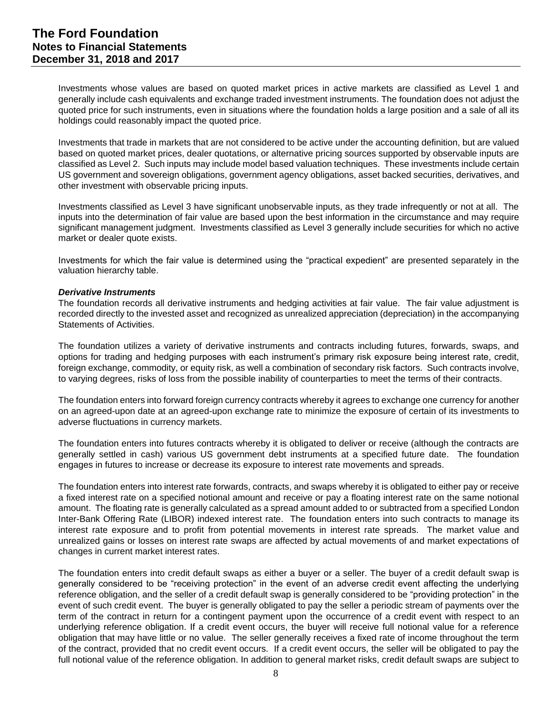Investments whose values are based on quoted market prices in active markets are classified as Level 1 and generally include cash equivalents and exchange traded investment instruments. The foundation does not adjust the quoted price for such instruments, even in situations where the foundation holds a large position and a sale of all its holdings could reasonably impact the quoted price.

Investments that trade in markets that are not considered to be active under the accounting definition, but are valued based on quoted market prices, dealer quotations, or alternative pricing sources supported by observable inputs are classified as Level 2. Such inputs may include model based valuation techniques. These investments include certain US government and sovereign obligations, government agency obligations, asset backed securities, derivatives, and other investment with observable pricing inputs.

Investments classified as Level 3 have significant unobservable inputs, as they trade infrequently or not at all. The inputs into the determination of fair value are based upon the best information in the circumstance and may require significant management judgment. Investments classified as Level 3 generally include securities for which no active market or dealer quote exists.

Investments for which the fair value is determined using the "practical expedient" are presented separately in the valuation hierarchy table.

#### *Derivative Instruments*

The foundation records all derivative instruments and hedging activities at fair value. The fair value adjustment is recorded directly to the invested asset and recognized as unrealized appreciation (depreciation) in the accompanying Statements of Activities.

The foundation utilizes a variety of derivative instruments and contracts including futures, forwards, swaps, and options for trading and hedging purposes with each instrument's primary risk exposure being interest rate, credit, foreign exchange, commodity, or equity risk, as well a combination of secondary risk factors. Such contracts involve, to varying degrees, risks of loss from the possible inability of counterparties to meet the terms of their contracts.

The foundation enters into forward foreign currency contracts whereby it agrees to exchange one currency for another on an agreed-upon date at an agreed-upon exchange rate to minimize the exposure of certain of its investments to adverse fluctuations in currency markets.

The foundation enters into futures contracts whereby it is obligated to deliver or receive (although the contracts are generally settled in cash) various US government debt instruments at a specified future date. The foundation engages in futures to increase or decrease its exposure to interest rate movements and spreads.

The foundation enters into interest rate forwards, contracts, and swaps whereby it is obligated to either pay or receive a fixed interest rate on a specified notional amount and receive or pay a floating interest rate on the same notional amount. The floating rate is generally calculated as a spread amount added to or subtracted from a specified London Inter-Bank Offering Rate (LIBOR) indexed interest rate. The foundation enters into such contracts to manage its interest rate exposure and to profit from potential movements in interest rate spreads. The market value and unrealized gains or losses on interest rate swaps are affected by actual movements of and market expectations of changes in current market interest rates.

The foundation enters into credit default swaps as either a buyer or a seller. The buyer of a credit default swap is generally considered to be "receiving protection" in the event of an adverse credit event affecting the underlying reference obligation, and the seller of a credit default swap is generally considered to be "providing protection" in the event of such credit event. The buyer is generally obligated to pay the seller a periodic stream of payments over the term of the contract in return for a contingent payment upon the occurrence of a credit event with respect to an underlying reference obligation. If a credit event occurs, the buyer will receive full notional value for a reference obligation that may have little or no value. The seller generally receives a fixed rate of income throughout the term of the contract, provided that no credit event occurs. If a credit event occurs, the seller will be obligated to pay the full notional value of the reference obligation. In addition to general market risks, credit default swaps are subject to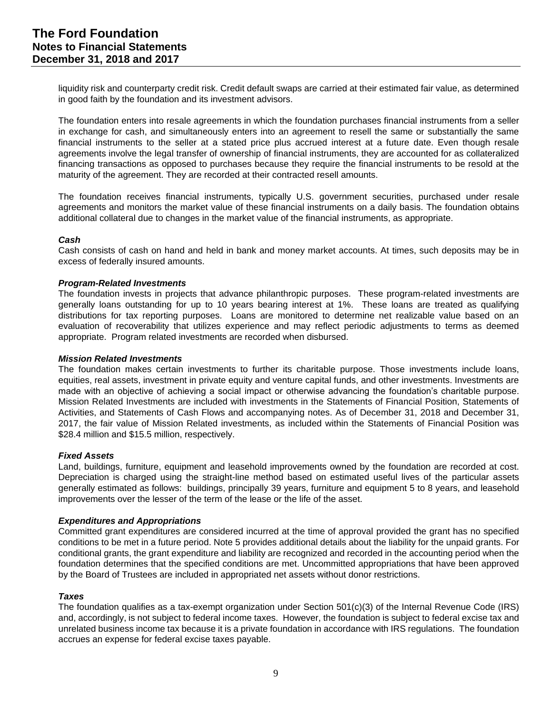liquidity risk and counterparty credit risk. Credit default swaps are carried at their estimated fair value, as determined in good faith by the foundation and its investment advisors.

The foundation enters into resale agreements in which the foundation purchases financial instruments from a seller in exchange for cash, and simultaneously enters into an agreement to resell the same or substantially the same financial instruments to the seller at a stated price plus accrued interest at a future date. Even though resale agreements involve the legal transfer of ownership of financial instruments, they are accounted for as collateralized financing transactions as opposed to purchases because they require the financial instruments to be resold at the maturity of the agreement. They are recorded at their contracted resell amounts.

The foundation receives financial instruments, typically U.S. government securities, purchased under resale agreements and monitors the market value of these financial instruments on a daily basis. The foundation obtains additional collateral due to changes in the market value of the financial instruments, as appropriate.

#### *Cash*

Cash consists of cash on hand and held in bank and money market accounts. At times, such deposits may be in excess of federally insured amounts.

#### *Program-Related Investments*

The foundation invests in projects that advance philanthropic purposes. These program-related investments are generally loans outstanding for up to 10 years bearing interest at 1%. These loans are treated as qualifying distributions for tax reporting purposes. Loans are monitored to determine net realizable value based on an evaluation of recoverability that utilizes experience and may reflect periodic adjustments to terms as deemed appropriate. Program related investments are recorded when disbursed.

#### *Mission Related Investments*

The foundation makes certain investments to further its charitable purpose. Those investments include loans, equities, real assets, investment in private equity and venture capital funds, and other investments. Investments are made with an objective of achieving a social impact or otherwise advancing the foundation's charitable purpose. Mission Related Investments are included with investments in the Statements of Financial Position, Statements of Activities, and Statements of Cash Flows and accompanying notes. As of December 31, 2018 and December 31, 2017, the fair value of Mission Related investments, as included within the Statements of Financial Position was \$28.4 million and \$15.5 million, respectively.

#### *Fixed Assets*

Land, buildings, furniture, equipment and leasehold improvements owned by the foundation are recorded at cost. Depreciation is charged using the straight-line method based on estimated useful lives of the particular assets generally estimated as follows: buildings, principally 39 years, furniture and equipment 5 to 8 years, and leasehold improvements over the lesser of the term of the lease or the life of the asset.

#### *Expenditures and Appropriations*

Committed grant expenditures are considered incurred at the time of approval provided the grant has no specified conditions to be met in a future period. Note 5 provides additional details about the liability for the unpaid grants. For conditional grants, the grant expenditure and liability are recognized and recorded in the accounting period when the foundation determines that the specified conditions are met. Uncommitted appropriations that have been approved by the Board of Trustees are included in appropriated net assets without donor restrictions.

#### *Taxes*

The foundation qualifies as a tax-exempt organization under Section 501(c)(3) of the Internal Revenue Code (IRS) and, accordingly, is not subject to federal income taxes. However, the foundation is subject to federal excise tax and unrelated business income tax because it is a private foundation in accordance with IRS regulations. The foundation accrues an expense for federal excise taxes payable.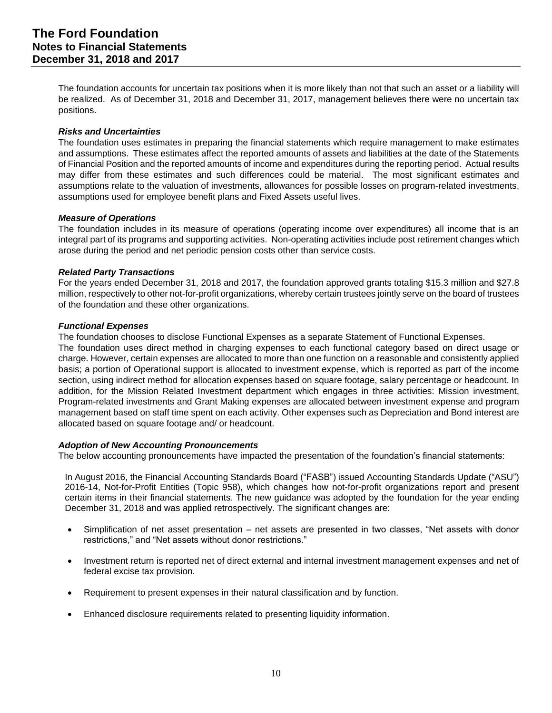The foundation accounts for uncertain tax positions when it is more likely than not that such an asset or a liability will be realized. As of December 31, 2018 and December 31, 2017, management believes there were no uncertain tax positions.

#### *Risks and Uncertainties*

The foundation uses estimates in preparing the financial statements which require management to make estimates and assumptions. These estimates affect the reported amounts of assets and liabilities at the date of the Statements of Financial Position and the reported amounts of income and expenditures during the reporting period. Actual results may differ from these estimates and such differences could be material. The most significant estimates and assumptions relate to the valuation of investments, allowances for possible losses on program-related investments, assumptions used for employee benefit plans and Fixed Assets useful lives.

#### *Measure of Operations*

The foundation includes in its measure of operations (operating income over expenditures) all income that is an integral part of its programs and supporting activities. Non-operating activities include post retirement changes which arose during the period and net periodic pension costs other than service costs.

#### *Related Party Transactions*

For the years ended December 31, 2018 and 2017, the foundation approved grants totaling \$15.3 million and \$27.8 million, respectively to other not-for-profit organizations, whereby certain trustees jointly serve on the board of trustees of the foundation and these other organizations.

#### *Functional Expenses*

The foundation chooses to disclose Functional Expenses as a separate Statement of Functional Expenses.

The foundation uses direct method in charging expenses to each functional category based on direct usage or charge. However, certain expenses are allocated to more than one function on a reasonable and consistently applied basis; a portion of Operational support is allocated to investment expense, which is reported as part of the income section, using indirect method for allocation expenses based on square footage, salary percentage or headcount. In addition, for the Mission Related Investment department which engages in three activities: Mission investment, Program-related investments and Grant Making expenses are allocated between investment expense and program management based on staff time spent on each activity. Other expenses such as Depreciation and Bond interest are allocated based on square footage and/ or headcount.

#### *Adoption of New Accounting Pronouncements*

The below accounting pronouncements have impacted the presentation of the foundation's financial statements:

In August 2016, the Financial Accounting Standards Board ("FASB") issued Accounting Standards Update ("ASU") 2016-14, Not-for-Profit Entities (Topic 958), which changes how not-for-profit organizations report and present certain items in their financial statements. The new guidance was adopted by the foundation for the year ending December 31, 2018 and was applied retrospectively. The significant changes are:

- Simplification of net asset presentation net assets are presented in two classes, "Net assets with donor restrictions," and "Net assets without donor restrictions."
- Investment return is reported net of direct external and internal investment management expenses and net of federal excise tax provision.
- Requirement to present expenses in their natural classification and by function.
- Enhanced disclosure requirements related to presenting liquidity information.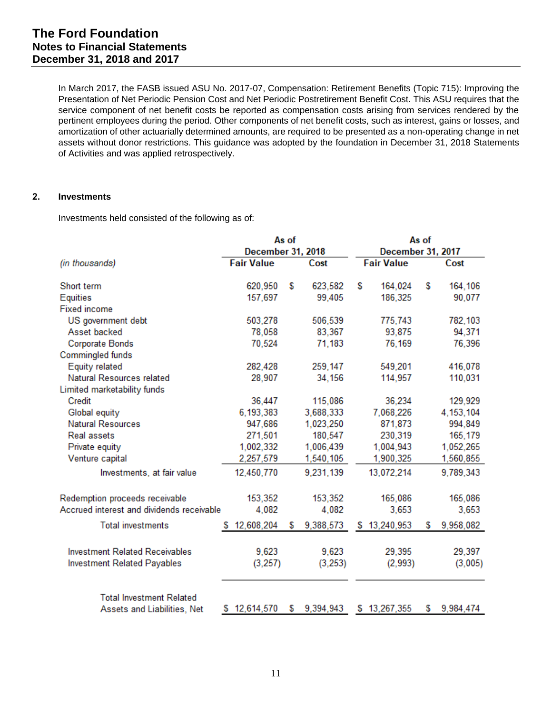In March 2017, the FASB issued ASU No. 2017-07, Compensation: Retirement Benefits (Topic 715): Improving the Presentation of Net Periodic Pension Cost and Net Periodic Postretirement Benefit Cost. This ASU requires that the service component of net benefit costs be reported as compensation costs arising from services rendered by the pertinent employees during the period. Other components of net benefit costs, such as interest, gains or losses, and amortization of other actuarially determined amounts, are required to be presented as a non-operating change in net assets without donor restrictions. This guidance was adopted by the foundation in December 31, 2018 Statements of Activities and was applied retrospectively.

#### **2. Investments**

Investments held consisted of the following as of:

|                                           |                          | As of |           | As of                    |                   |   |             |  |  |
|-------------------------------------------|--------------------------|-------|-----------|--------------------------|-------------------|---|-------------|--|--|
|                                           | <b>December 31, 2018</b> |       |           | <b>December 31, 2017</b> |                   |   |             |  |  |
| (in thousands)                            | <b>Fair Value</b>        |       | Cost      |                          | <b>Fair Value</b> |   | Cost        |  |  |
| Short term                                | 620,950                  | S     | 623,582   | S                        | 164,024           | S | 164,106     |  |  |
| Equities                                  | 157,697                  |       | 99,405    |                          | 186,325           |   | 90,077      |  |  |
| <b>Fixed income</b>                       |                          |       |           |                          |                   |   |             |  |  |
| US government debt                        | 503,278                  |       | 506,539   |                          | 775,743           |   | 782,103     |  |  |
| Asset backed                              | 78,058                   |       | 83,367    |                          | 93,875            |   | 94,371      |  |  |
| <b>Corporate Bonds</b>                    | 70,524                   |       | 71,183    |                          | 76,169            |   | 76,396      |  |  |
| Commingled funds                          |                          |       |           |                          |                   |   |             |  |  |
| Equity related                            | 282,428                  |       | 259,147   |                          | 549,201           |   | 416,078     |  |  |
| Natural Resources related                 | 28,907                   |       | 34,156    |                          | 114,957           |   | 110,031     |  |  |
| Limited marketability funds               |                          |       |           |                          |                   |   |             |  |  |
| Credit                                    | 36,447                   |       | 115,086   |                          | 36,234            |   | 129,929     |  |  |
| Global equity                             | 6,193,383                |       | 3,688,333 |                          | 7,068,226         |   | 4, 153, 104 |  |  |
| <b>Natural Resources</b>                  | 947,686                  |       | 1,023,250 |                          | 871,873           |   | 994,849     |  |  |
| <b>Real assets</b>                        | 271,501                  |       | 180,547   |                          | 230,319           |   | 165,179     |  |  |
| Private equity                            | 1,002,332                |       | 1,006,439 |                          | 1,004,943         |   | 1,052,265   |  |  |
| Venture capital                           | 2,257,579                |       | 1,540,105 |                          | 1,900,325         |   | 1,560,855   |  |  |
| Investments, at fair value                | 12,450,770               |       | 9,231,139 |                          | 13,072,214        |   | 9,789,343   |  |  |
| Redemption proceeds receivable            | 153,352                  |       | 153,352   |                          | 165,086           |   | 165,086     |  |  |
| Accrued interest and dividends receivable | 4,082                    |       | 4,082     |                          | 3,653             |   | 3,653       |  |  |
| <b>Total investments</b>                  | 12,608,204<br>S.         | S     | 9,388,573 |                          | \$13,240,953      | S | 9,958,082   |  |  |
| <b>Investment Related Receivables</b>     | 9,623                    |       | 9,623     |                          | 29,395            |   | 29,397      |  |  |
| <b>Investment Related Payables</b>        | (3, 257)                 |       | (3, 253)  |                          | (2,993)           |   | (3,005)     |  |  |
| <b>Total Investment Related</b>           |                          |       |           |                          |                   |   |             |  |  |
| Assets and Liabilities, Net               | \$12,614,570             | S     | 9,394,943 |                          | \$13,267,355      | S | 9,984,474   |  |  |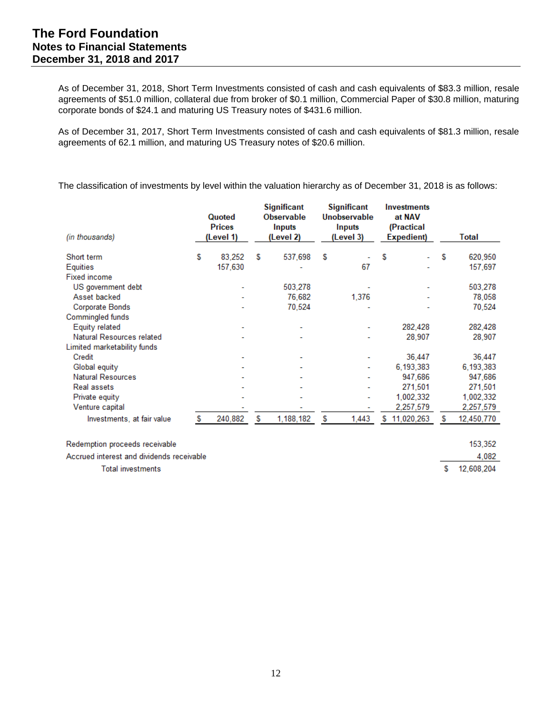As of December 31, 2018, Short Term Investments consisted of cash and cash equivalents of \$83.3 million, resale agreements of \$51.0 million, collateral due from broker of \$0.1 million, Commercial Paper of \$30.8 million, maturing corporate bonds of \$24.1 and maturing US Treasury notes of \$431.6 million.

As of December 31, 2017, Short Term Investments consisted of cash and cash equivalents of \$81.3 million, resale agreements of 62.1 million, and maturing US Treasury notes of \$20.6 million.

The classification of investments by level within the valuation hierarchy as of December 31, 2018 is as follows:

| (in thousands)                 |   | Quoted<br><b>Prices</b><br>(Level 1) |   | Significant<br><b>Observable</b><br>Inputs<br>(Level 2) |   | Significant<br>Unobservable<br>Inputs<br>(Level 3) |   | <b>Investments</b><br>at NAV<br>(Practical<br>Expedient) |   | Total      |
|--------------------------------|---|--------------------------------------|---|---------------------------------------------------------|---|----------------------------------------------------|---|----------------------------------------------------------|---|------------|
| Short term                     | S | 83.252                               | S | 537.698                                                 | S |                                                    | S |                                                          | S | 620,950    |
| Equities                       |   | 157,630                              |   |                                                         |   | 67                                                 |   |                                                          |   | 157,697    |
| <b>Fixed income</b>            |   |                                      |   |                                                         |   |                                                    |   |                                                          |   |            |
| US government debt             |   |                                      |   | 503,278                                                 |   |                                                    |   |                                                          |   | 503,278    |
| Asset backed                   |   |                                      |   | 76,682                                                  |   | 1,376                                              |   |                                                          |   | 78,058     |
| Corporate Bonds                |   |                                      |   | 70,524                                                  |   |                                                    |   |                                                          |   | 70,524     |
| Commingled funds               |   |                                      |   |                                                         |   |                                                    |   |                                                          |   |            |
| Equity related                 |   |                                      |   | ۰                                                       |   |                                                    |   | 282,428                                                  |   | 282,428    |
| Natural Resources related      |   |                                      |   | ۰                                                       |   |                                                    |   | 28,907                                                   |   | 28,907     |
| Limited marketability funds    |   |                                      |   |                                                         |   |                                                    |   |                                                          |   |            |
| Credit                         |   |                                      |   | ۰                                                       |   |                                                    |   | 36,447                                                   |   | 36,447     |
| Global equity                  |   |                                      |   |                                                         |   | ۰                                                  |   | 6,193,383                                                |   | 6,193,383  |
| <b>Natural Resources</b>       |   |                                      |   |                                                         |   |                                                    |   | 947,686                                                  |   | 947,686    |
| <b>Real assets</b>             |   |                                      |   |                                                         |   |                                                    |   | 271,501                                                  |   | 271,501    |
| Private equity                 |   |                                      |   |                                                         |   |                                                    |   | 1,002,332                                                |   | 1,002,332  |
| Venture capital                |   |                                      |   |                                                         |   |                                                    |   | 2,257,579                                                |   | 2,257,579  |
| Investments, at fair value     | S | 240,882                              | S | 1,188,182                                               | S | 1,443                                              |   | \$11,020,263                                             | s | 12,450,770 |
| Redemption proceeds receivable |   |                                      |   |                                                         |   |                                                    |   |                                                          |   | 153,352    |

Accrued interest and dividends receivable

**Total investments** 

4,082

S. 12,608,204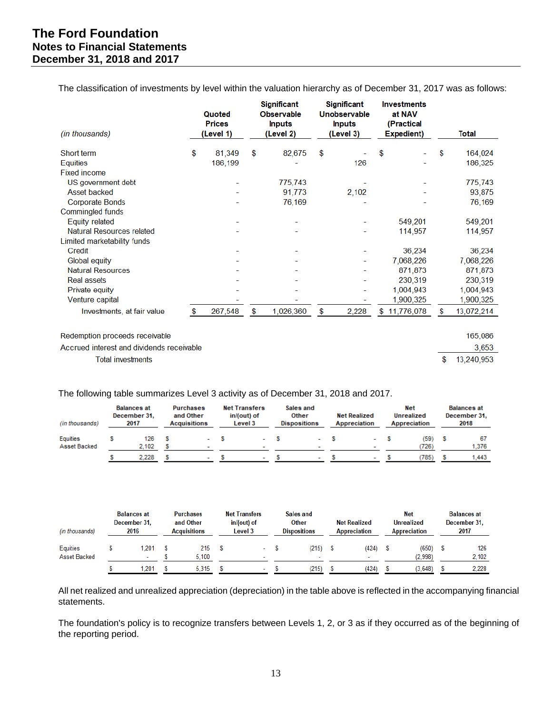The classification of investments by level within the valuation hierarchy as of December 31, 2017 was as follows:

| <i>(in thousands)</i>                     | Quoted<br><b>Prices</b><br>(Level 1) | <b>Significant</b><br><b>Observable</b><br><b>Inputs</b><br>(Level 2) | <b>Significant</b><br>Unobservable<br><b>Inputs</b><br>(Level 3) | <b>Investments</b><br>at NAV<br>(Practical<br>Expedient) | Total            |
|-------------------------------------------|--------------------------------------|-----------------------------------------------------------------------|------------------------------------------------------------------|----------------------------------------------------------|------------------|
| Short term                                | \$<br>81,349                         | \$<br>82,675                                                          | \$                                                               | \$                                                       | \$<br>164,024    |
| Equities                                  | 186,199                              |                                                                       | 126                                                              |                                                          | 186,325          |
| <b>Fixed income</b>                       |                                      |                                                                       |                                                                  |                                                          |                  |
| US government debt                        |                                      | 775,743                                                               |                                                                  |                                                          | 775,743          |
| <b>Asset backed</b>                       |                                      | 91,773                                                                | 2,102                                                            |                                                          | 93,875           |
| <b>Corporate Bonds</b>                    |                                      | 76,169                                                                |                                                                  |                                                          | 76,169           |
| Commingled funds                          |                                      |                                                                       |                                                                  |                                                          |                  |
| <b>Equity related</b>                     |                                      |                                                                       |                                                                  | 549,201                                                  | 549,201          |
| Natural Resources related                 |                                      |                                                                       |                                                                  | 114,957                                                  | 114,957          |
| Limited marketability funds               |                                      |                                                                       |                                                                  |                                                          |                  |
| Credit                                    |                                      |                                                                       |                                                                  | 36,234                                                   | 36,234           |
| <b>Global equity</b>                      |                                      |                                                                       |                                                                  | 7,068,226                                                | 7,068,226        |
| <b>Natural Resources</b>                  |                                      |                                                                       |                                                                  | 871,873                                                  | 871,873          |
| <b>Real assets</b>                        |                                      |                                                                       |                                                                  | 230,319                                                  | 230,319          |
| Private equity                            |                                      |                                                                       |                                                                  | 1,004,943                                                | 1,004,943        |
| Venture capital                           |                                      |                                                                       |                                                                  | 1,900,325                                                | 1,900,325        |
| Investments, at fair value                | \$<br>267,548                        | \$<br>1,026,360                                                       | \$<br>2,228                                                      | \$11,776,078                                             | \$<br>13,072,214 |
| Redemption proceeds receivable            |                                      |                                                                       |                                                                  |                                                          | 165,086          |
| Accrued interest and dividends receivable |                                      |                                                                       |                                                                  |                                                          | 3,653            |
| <b>Total investments</b>                  |                                      |                                                                       |                                                                  |                                                          | \$<br>13,240,953 |

The following table summarizes Level 3 activity as of December 31, 2018 and 2017.

| (in thousands)           | <b>Balances at</b><br><b>Purchases</b><br>and Other<br>December 31.<br>2017<br><b>Acquisitions</b> |              |  | <b>Net Transfers</b><br>in/(out) of<br><b>Level 3</b> | Sales and<br><b>Other</b><br><b>Dispositions</b> |  | <b>Net Realized</b><br>Appreciation |  | <b>Net</b><br>Unrealized<br>Appreciation |  | <b>Balances at</b><br>December 31.<br>2018 |   |             |
|--------------------------|----------------------------------------------------------------------------------------------------|--------------|--|-------------------------------------------------------|--------------------------------------------------|--|-------------------------------------|--|------------------------------------------|--|--------------------------------------------|---|-------------|
| Equities<br>Asset Backed |                                                                                                    | 126<br>2.102 |  |                                                       |                                                  |  |                                     |  | $\overline{\phantom{a}}$                 |  | (59)<br>(726)                              | s | 67<br>1.376 |
|                          |                                                                                                    | 2,228        |  |                                                       |                                                  |  |                                     |  | $\overline{\phantom{a}}$                 |  | (785)                                      |   | 1.443       |

| (in thousands)           | <b>Balances at</b><br>December 31.<br>2016 | <b>Purchases</b><br>and Other<br><b>Acquisitions</b> |  | <b>Net Transfers</b><br>in/(out) of<br>Level 3 |  |                                   |  | Sales and<br><b>Other</b><br><b>Dispositions</b> |  | <b>Net Realized</b><br><b>Appreciation</b> |  | <b>Net</b><br><b>Unrealized</b><br><b>Appreciation</b> |  | <b>Balances at</b><br>December 31.<br>2017 |  |
|--------------------------|--------------------------------------------|------------------------------------------------------|--|------------------------------------------------|--|-----------------------------------|--|--------------------------------------------------|--|--------------------------------------------|--|--------------------------------------------------------|--|--------------------------------------------|--|
| Equities<br>Asset Backed | .201<br>$\overline{\phantom{a}}$           | 215<br>5.100                                         |  | -                                              |  | (215)<br>$\overline{\phantom{a}}$ |  | (424)<br>$\overline{\phantom{a}}$                |  | (650)<br>(2.998)                           |  | 126<br>2.102                                           |  |                                            |  |
|                          | .201                                       | 5.315                                                |  | $\overline{\phantom{a}}$                       |  | (215)                             |  | (424)                                            |  | (3.648)                                    |  | 2.228                                                  |  |                                            |  |

All net realized and unrealized appreciation (depreciation) in the table above is reflected in the accompanying financial statements.

The foundation's policy is to recognize transfers between Levels 1, 2, or 3 as if they occurred as of the beginning of the reporting period.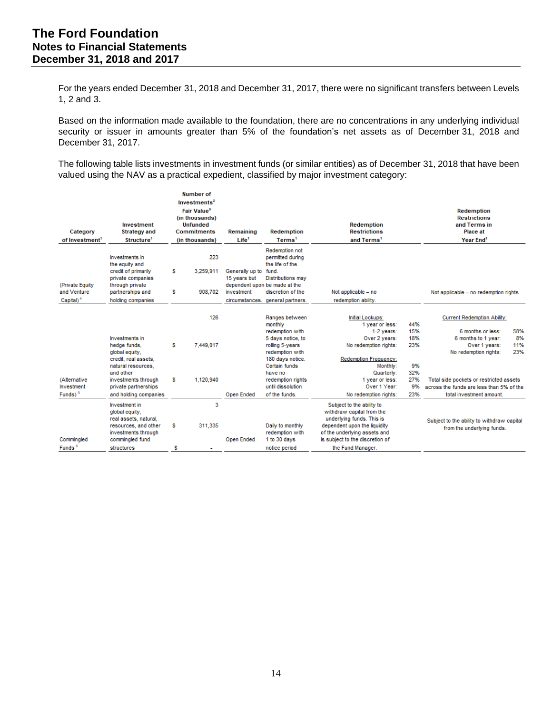For the years ended December 31, 2018 and December 31, 2017, there were no significant transfers between Levels 1, 2 and 3.

Based on the information made available to the foundation, there are no concentrations in any underlying individual security or issuer in amounts greater than 5% of the foundation's net assets as of December 31, 2018 and December 31, 2017.

The following table lists investments in investment funds (or similar entities) as of December 31, 2018 that have been valued using the NAV as a practical expedient, classified by major investment category:

| Investment<br>Category<br><b>Strategy and</b><br>of Investment <sup>1</sup><br>Structure <sup>1</sup><br>Investments in |                                                                                                                                                                   |        | Number of<br>Investments <sup>2</sup><br>Fair Value <sup>3</sup><br>(in thousands)<br><b>Unfunded</b><br><b>Commitments</b><br>(in thousands) | Remaining<br>Life <sup>1</sup>                | <b>Redemption</b><br>Terms <sup>1</sup>                                                                                                                                                                            | <b>Redemption</b><br><b>Restrictions</b><br>and Terms <sup>1</sup>                                                                                                                                                                   |                                                           | <b>Redemption</b><br><b>Restrictions</b><br>and Terms in<br><b>Place at</b><br>Year End <sup>1</sup>                                                                                                                                        |                         |
|-------------------------------------------------------------------------------------------------------------------------|-------------------------------------------------------------------------------------------------------------------------------------------------------------------|--------|-----------------------------------------------------------------------------------------------------------------------------------------------|-----------------------------------------------|--------------------------------------------------------------------------------------------------------------------------------------------------------------------------------------------------------------------|--------------------------------------------------------------------------------------------------------------------------------------------------------------------------------------------------------------------------------------|-----------------------------------------------------------|---------------------------------------------------------------------------------------------------------------------------------------------------------------------------------------------------------------------------------------------|-------------------------|
| (Private Equity<br>and Venture<br>Capital) <sup>4</sup>                                                                 | the equity and<br>credit of primarily<br>private companies<br>through private<br>partnerships and<br>holding companies                                            | s<br>s | 223<br>3,259,911<br>908,702                                                                                                                   | Generally up to<br>15 years but<br>investment | Redemption not<br>permitted during<br>the life of the<br>fund.<br>Distributions may<br>dependent upon be made at the<br>discretion of the<br>circumstances, general partners.                                      | Not applicable - no<br>redemption ability.                                                                                                                                                                                           |                                                           | Not applicable - no redemption rights                                                                                                                                                                                                       |                         |
| (Alternative<br>Investment<br>Funds) <sup>5</sup>                                                                       | Investments in<br>hedge funds,<br>global equity,<br>credit, real assets.<br>natural resources.<br>and other<br>investments through<br>private partnerships        | s<br>s | 126<br>7,449,017<br>1,120,940                                                                                                                 | Open Ended                                    | Ranges between<br>monthly<br>redemption with<br>5 days notice, to<br>rolling 5-years<br>redemption with<br>180 days notice.<br>Certain funds<br>have no<br>redemption rights<br>until dissolution<br>of the funds. | Initial Lockups:<br>1 year or less:<br>1-2 years:<br>Over 2 years:<br>No redemption rights:<br>Redemption Frequency:<br>Monthly:<br>Quarterly:<br>1 year or less:<br>Over 1 Year:                                                    | 44%<br>15%<br>18%<br>23%<br>9%<br>32%<br>27%<br>9%<br>23% | <b>Current Redemption Ability:</b><br>6 months or less:<br>6 months to 1 year:<br>Over 1 years:<br>No redemption rights:<br>Total side pockets or restricted assets<br>across the funds are less than 5% of the<br>total investment amount. | 58%<br>8%<br>11%<br>23% |
| Commingled<br>Funds <sup>6</sup>                                                                                        | and holding companies<br>Investment in<br>global equity,<br>real assets, natural,<br>resources, and other<br>investments through<br>commingled fund<br>structures | s<br>s | 3<br>311,335                                                                                                                                  | Open Ended                                    | Daily to monthly<br>redemption with<br>1 to 30 days<br>notice period                                                                                                                                               | No redemption rights:<br>Subject to the ability to<br>withdraw capital from the<br>underlying funds. This is<br>dependent upon the liquidity<br>of the underlying assets and<br>is subject to the discretion of<br>the Fund Manager. |                                                           | Subject to the ability to withdraw capital<br>from the underlying funds.                                                                                                                                                                    |                         |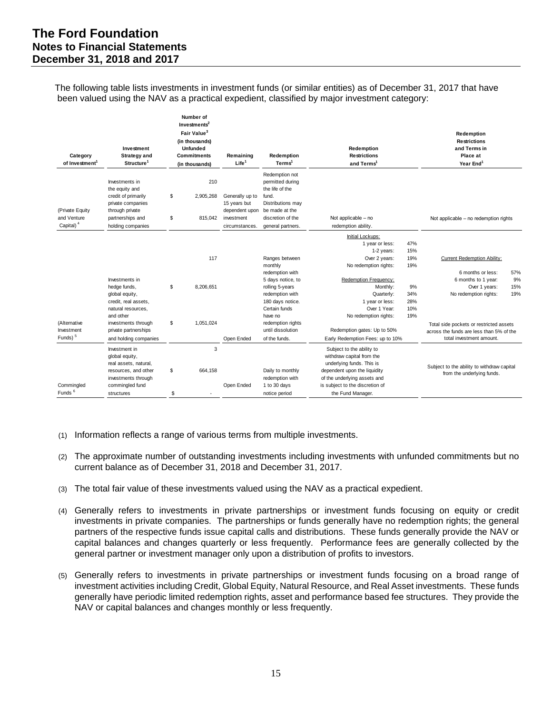The following table lists investments in investment funds (or similar entities) as of December 31, 2017 that have been valued using the NAV as a practical expedient, classified by major investment category:

| Category<br>of Investment <sup>1</sup>                                                                                                                                       | Investment<br><b>Strategy and</b><br>Structure <sup>1</sup>                                          |          | Number of<br>Investments <sup>2</sup><br>Fair Value <sup>3</sup><br>(in thousands)<br><b>Unfunded</b><br><b>Commitments</b><br>(in thousands) | Remaining<br>Life <sup>1</sup>                                                                   | Redemption<br>Terms <sup>1</sup>                                                                                | Redemption<br><b>Restrictions</b><br>and Terms <sup>1</sup>                                                                                                                                                 |                          | Redemption<br><b>Restrictions</b><br>and Terms in<br>Place at<br>Year End <sup>1</sup>                          |                         |
|------------------------------------------------------------------------------------------------------------------------------------------------------------------------------|------------------------------------------------------------------------------------------------------|----------|-----------------------------------------------------------------------------------------------------------------------------------------------|--------------------------------------------------------------------------------------------------|-----------------------------------------------------------------------------------------------------------------|-------------------------------------------------------------------------------------------------------------------------------------------------------------------------------------------------------------|--------------------------|-----------------------------------------------------------------------------------------------------------------|-------------------------|
|                                                                                                                                                                              | Investments in<br>the equity and                                                                     |          | 210                                                                                                                                           |                                                                                                  | Redemption not<br>permitted during<br>the life of the                                                           |                                                                                                                                                                                                             |                          |                                                                                                                 |                         |
| (Private Equity<br>and Venture<br>Capital) <sup>4</sup>                                                                                                                      | credit of primarily<br>private companies<br>through private<br>partnerships and<br>holding companies | \$<br>\$ | 2,905,268<br>815,042                                                                                                                          | Generally up to<br>15 years but<br>dependent upon be made at the<br>investment<br>circumstances. | fund.<br>Distributions may<br>discretion of the<br>general partners.                                            | Not applicable - no<br>redemption ability.                                                                                                                                                                  |                          | Not applicable - no redemption rights                                                                           |                         |
|                                                                                                                                                                              |                                                                                                      |          | 117                                                                                                                                           |                                                                                                  | Ranges between<br>monthly                                                                                       | Initial Lockups:<br>1 year or less:<br>1-2 years:<br>Over 2 years:<br>No redemption rights:                                                                                                                 | 47%<br>15%<br>19%<br>19% | Current Redemption Ability:                                                                                     |                         |
|                                                                                                                                                                              | Investments in<br>hedge funds,<br>global equity,<br>credit, real assets,<br>natural resources,       | \$       | 8.206.651                                                                                                                                     |                                                                                                  | redemption with<br>5 days notice, to<br>rolling 5-years<br>redemption with<br>180 days notice.<br>Certain funds | Redemption Frequency:<br>Monthly:<br>Quarterly:<br>1 year or less:<br>Over 1 Year:                                                                                                                          | 9%<br>34%<br>28%<br>10%  | 6 months or less:<br>6 months to 1 year:<br>Over 1 years:<br>No redemption rights:                              | 57%<br>9%<br>15%<br>19% |
| (Alternative<br>Investment<br>Funds) <sup>5</sup>                                                                                                                            | and other<br>investments through<br>private partnerships<br>and holding companies                    | \$       | 1,051,024                                                                                                                                     | Open Ended                                                                                       | have no<br>redemption rights<br>until dissolution<br>of the funds.                                              | No redemption rights:<br>Redemption gates: Up to 50%<br>Early Redemption Fees: up to 10%                                                                                                                    | 19%                      | Total side pockets or restricted assets<br>across the funds are less than 5% of the<br>total investment amount. |                         |
| Investment in<br>global equity,<br>real assets, natural,<br>resources, and other<br>investments through<br>Commingled<br>commingled fund<br>Funds <sup>6</sup><br>structures |                                                                                                      |          | 3<br>664,158                                                                                                                                  | Open Ended                                                                                       | Daily to monthly<br>redemption with<br>1 to 30 days<br>notice period                                            | Subject to the ability to<br>withdraw capital from the<br>underlying funds. This is<br>dependent upon the liquidity<br>of the underlying assets and<br>is subject to the discretion of<br>the Fund Manager. |                          | Subject to the ability to withdraw capital<br>from the underlying funds.                                        |                         |

- (1) Information reflects a range of various terms from multiple investments.
- (2) The approximate number of outstanding investments including investments with unfunded commitments but no current balance as of December 31, 2018 and December 31, 2017.
- (3) The total fair value of these investments valued using the NAV as a practical expedient.
- (4) Generally refers to investments in private partnerships or investment funds focusing on equity or credit investments in private companies. The partnerships or funds generally have no redemption rights; the general partners of the respective funds issue capital calls and distributions. These funds generally provide the NAV or capital balances and changes quarterly or less frequently. Performance fees are generally collected by the general partner or investment manager only upon a distribution of profits to investors.
- (5) Generally refers to investments in private partnerships or investment funds focusing on a broad range of investment activities including Credit, Global Equity, Natural Resource, and Real Asset investments. These funds generally have periodic limited redemption rights, asset and performance based fee structures. They provide the NAV or capital balances and changes monthly or less frequently.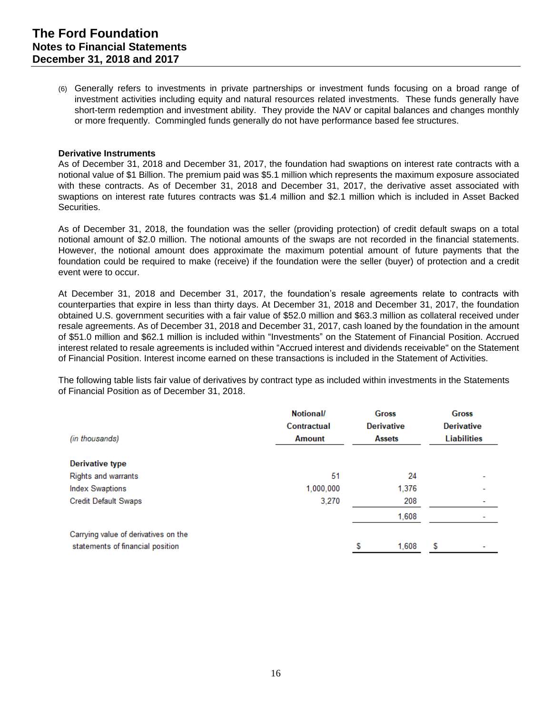(6) Generally refers to investments in private partnerships or investment funds focusing on a broad range of investment activities including equity and natural resources related investments. These funds generally have short-term redemption and investment ability. They provide the NAV or capital balances and changes monthly or more frequently. Commingled funds generally do not have performance based fee structures.

#### **Derivative Instruments**

As of December 31, 2018 and December 31, 2017, the foundation had swaptions on interest rate contracts with a notional value of \$1 Billion. The premium paid was \$5.1 million which represents the maximum exposure associated with these contracts. As of December 31, 2018 and December 31, 2017, the derivative asset associated with swaptions on interest rate futures contracts was \$1.4 million and \$2.1 million which is included in Asset Backed Securities.

As of December 31, 2018, the foundation was the seller (providing protection) of credit default swaps on a total notional amount of \$2.0 million. The notional amounts of the swaps are not recorded in the financial statements. However, the notional amount does approximate the maximum potential amount of future payments that the foundation could be required to make (receive) if the foundation were the seller (buyer) of protection and a credit event were to occur.

At December 31, 2018 and December 31, 2017, the foundation's resale agreements relate to contracts with counterparties that expire in less than thirty days. At December 31, 2018 and December 31, 2017, the foundation obtained U.S. government securities with a fair value of \$52.0 million and \$63.3 million as collateral received under resale agreements. As of December 31, 2018 and December 31, 2017, cash loaned by the foundation in the amount of \$51.0 million and \$62.1 million is included within "Investments" on the Statement of Financial Position. Accrued interest related to resale agreements is included within "Accrued interest and dividends receivable" on the Statement of Financial Position. Interest income earned on these transactions is included in the Statement of Activities.

The following table lists fair value of derivatives by contract type as included within investments in the Statements of Financial Position as of December 31, 2018.

| (in thousands)                       | Notional/<br>Contractual<br><b>Amount</b> | <b>Gross</b><br><b>Derivative</b><br><b>Assets</b> |       | Gross<br><b>Derivative</b><br><b>Liabilities</b> |  |
|--------------------------------------|-------------------------------------------|----------------------------------------------------|-------|--------------------------------------------------|--|
| <b>Derivative type</b>               |                                           |                                                    |       |                                                  |  |
| <b>Rights and warrants</b>           | 51                                        |                                                    | 24    |                                                  |  |
| <b>Index Swaptions</b>               | 1.000.000                                 |                                                    | 1.376 |                                                  |  |
| <b>Credit Default Swaps</b>          | 3,270                                     |                                                    | 208   |                                                  |  |
|                                      |                                           |                                                    | 1,608 |                                                  |  |
| Carrying value of derivatives on the |                                           |                                                    |       |                                                  |  |
| statements of financial position     |                                           | S                                                  | 1.608 | S                                                |  |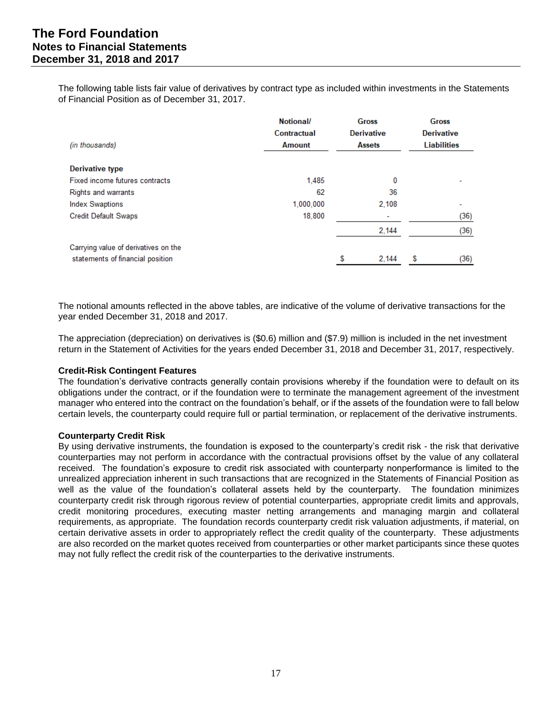The following table lists fair value of derivatives by contract type as included within investments in the Statements of Financial Position as of December 31, 2017.

|                                      | Notional/     |   | <b>Gross</b>      | <b>Gross</b><br><b>Derivative</b> |                    |
|--------------------------------------|---------------|---|-------------------|-----------------------------------|--------------------|
|                                      | Contractual   |   | <b>Derivative</b> |                                   |                    |
| (in thousands)                       | <b>Amount</b> |   | <b>Assets</b>     |                                   | <b>Liabilities</b> |
| <b>Derivative type</b>               |               |   |                   |                                   |                    |
| Fixed income futures contracts       | 1.485         |   | 0                 |                                   |                    |
| <b>Rights and warrants</b>           | 62            |   | 36                |                                   |                    |
| <b>Index Swaptions</b>               | 1.000.000     |   | 2.108             |                                   |                    |
| <b>Credit Default Swaps</b>          | 18,800        |   | ٠                 |                                   | (36)               |
|                                      |               |   | 2,144             |                                   | (36)               |
| Carrying value of derivatives on the |               |   |                   |                                   |                    |
| statements of financial position     |               | S | 2.144             | S                                 | (36)               |

The notional amounts reflected in the above tables, are indicative of the volume of derivative transactions for the year ended December 31, 2018 and 2017.

The appreciation (depreciation) on derivatives is (\$0.6) million and (\$7.9) million is included in the net investment return in the Statement of Activities for the years ended December 31, 2018 and December 31, 2017, respectively.

#### **Credit-Risk Contingent Features**

The foundation's derivative contracts generally contain provisions whereby if the foundation were to default on its obligations under the contract, or if the foundation were to terminate the management agreement of the investment manager who entered into the contract on the foundation's behalf, or if the assets of the foundation were to fall below certain levels, the counterparty could require full or partial termination, or replacement of the derivative instruments.

#### **Counterparty Credit Risk**

By using derivative instruments, the foundation is exposed to the counterparty's credit risk - the risk that derivative counterparties may not perform in accordance with the contractual provisions offset by the value of any collateral received. The foundation's exposure to credit risk associated with counterparty nonperformance is limited to the unrealized appreciation inherent in such transactions that are recognized in the Statements of Financial Position as well as the value of the foundation's collateral assets held by the counterparty. The foundation minimizes counterparty credit risk through rigorous review of potential counterparties, appropriate credit limits and approvals, credit monitoring procedures, executing master netting arrangements and managing margin and collateral requirements, as appropriate. The foundation records counterparty credit risk valuation adjustments, if material, on certain derivative assets in order to appropriately reflect the credit quality of the counterparty. These adjustments are also recorded on the market quotes received from counterparties or other market participants since these quotes may not fully reflect the credit risk of the counterparties to the derivative instruments.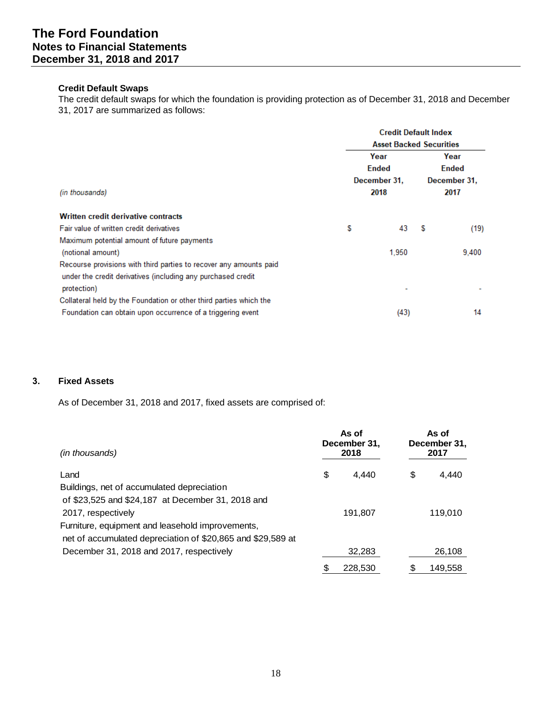#### **Credit Default Swaps**

The credit default swaps for which the foundation is providing protection as of December 31, 2018 and December 31, 2017 are summarized as follows:

|                                                                             |      | <b>Credit Default Index</b>    |   |              |  |  |
|-----------------------------------------------------------------------------|------|--------------------------------|---|--------------|--|--|
|                                                                             |      | <b>Asset Backed Securities</b> |   |              |  |  |
|                                                                             |      | Year                           |   | Year         |  |  |
|                                                                             |      | Ended                          |   | <b>Ended</b> |  |  |
|                                                                             |      | December 31.                   |   | December 31, |  |  |
| (in thousands)                                                              | 2018 | 2017                           |   |              |  |  |
| <b>Written credit derivative contracts</b>                                  |      |                                |   |              |  |  |
| Fair value of written credit derivatives                                    | S    | 43                             | S | (19)         |  |  |
| Maximum potential amount of future payments                                 |      |                                |   |              |  |  |
| (notional amount)                                                           |      | 1.950                          |   | 9.400        |  |  |
| Recourse provisions with third parties to recover any amounts paid          |      |                                |   |              |  |  |
| under the credit derivatives (including any purchased credit<br>protection) |      |                                |   |              |  |  |
| Collateral held by the Foundation or other third parties which the          |      |                                |   |              |  |  |
| Foundation can obtain upon occurrence of a triggering event                 |      | (43)                           |   | 14           |  |  |

# **3. Fixed Assets**

As of December 31, 2018 and 2017, fixed assets are comprised of:

| (in thousands)                                              |    | As of<br>December 31,<br>2018 | As of<br>December 31,<br>2017 |         |  |
|-------------------------------------------------------------|----|-------------------------------|-------------------------------|---------|--|
| Land                                                        | \$ | 4.440                         | \$                            | 4.440   |  |
| Buildings, net of accumulated depreciation                  |    |                               |                               |         |  |
| of \$23,525 and \$24,187 at December 31, 2018 and           |    |                               |                               |         |  |
| 2017, respectively                                          |    | 191,807                       |                               | 119.010 |  |
| Furniture, equipment and leasehold improvements,            |    |                               |                               |         |  |
| net of accumulated depreciation of \$20,865 and \$29,589 at |    |                               |                               |         |  |
| December 31, 2018 and 2017, respectively                    |    | 32,283                        |                               | 26,108  |  |
|                                                             | S  | 228.530                       | S                             | 149.558 |  |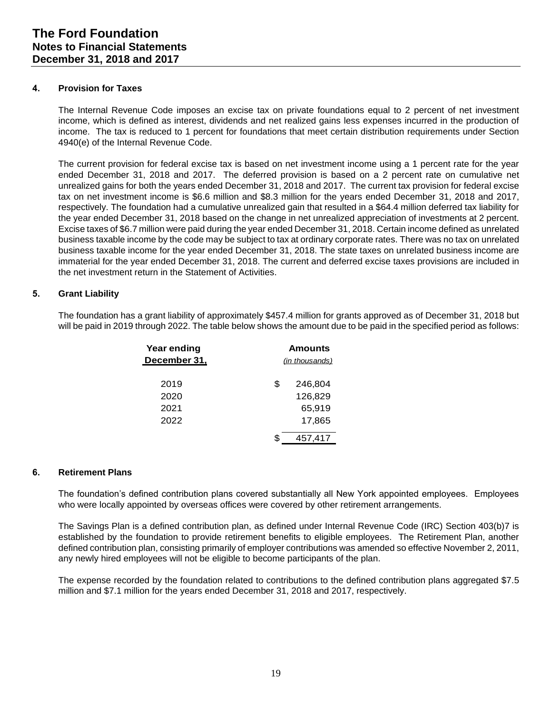#### **4. Provision for Taxes**

The Internal Revenue Code imposes an excise tax on private foundations equal to 2 percent of net investment income, which is defined as interest, dividends and net realized gains less expenses incurred in the production of income. The tax is reduced to 1 percent for foundations that meet certain distribution requirements under Section 4940(e) of the Internal Revenue Code.

The current provision for federal excise tax is based on net investment income using a 1 percent rate for the year ended December 31, 2018 and 2017. The deferred provision is based on a 2 percent rate on cumulative net unrealized gains for both the years ended December 31, 2018 and 2017. The current tax provision for federal excise tax on net investment income is \$6.6 million and \$8.3 million for the years ended December 31, 2018 and 2017, respectively. The foundation had a cumulative unrealized gain that resulted in a \$64.4 million deferred tax liability for the year ended December 31, 2018 based on the change in net unrealized appreciation of investments at 2 percent. Excise taxes of \$6.7 million were paid during the year ended December 31, 2018. Certain income defined as unrelated business taxable income by the code may be subject to tax at ordinary corporate rates. There was no tax on unrelated business taxable income for the year ended December 31, 2018. The state taxes on unrelated business income are immaterial for the year ended December 31, 2018. The current and deferred excise taxes provisions are included in the net investment return in the Statement of Activities.

# **5. Grant Liability**

The foundation has a grant liability of approximately \$457.4 million for grants approved as of December 31, 2018 but will be paid in 2019 through 2022. The table below shows the amount due to be paid in the specified period as follows:

| Year ending  | Amounts        |
|--------------|----------------|
| December 31, | (in thousands) |
|              |                |
| 2019         | \$<br>246,804  |
| 2020         | 126,829        |
| 2021         | 65,919         |
| 2022         | 17.865         |
|              |                |
|              | 457.417        |

# **6. Retirement Plans**

The foundation's defined contribution plans covered substantially all New York appointed employees. Employees who were locally appointed by overseas offices were covered by other retirement arrangements.

The Savings Plan is a defined contribution plan, as defined under Internal Revenue Code (IRC) Section 403(b)7 is established by the foundation to provide retirement benefits to eligible employees. The Retirement Plan, another defined contribution plan, consisting primarily of employer contributions was amended so effective November 2, 2011, any newly hired employees will not be eligible to become participants of the plan.

The expense recorded by the foundation related to contributions to the defined contribution plans aggregated \$7.5 million and \$7.1 million for the years ended December 31, 2018 and 2017, respectively.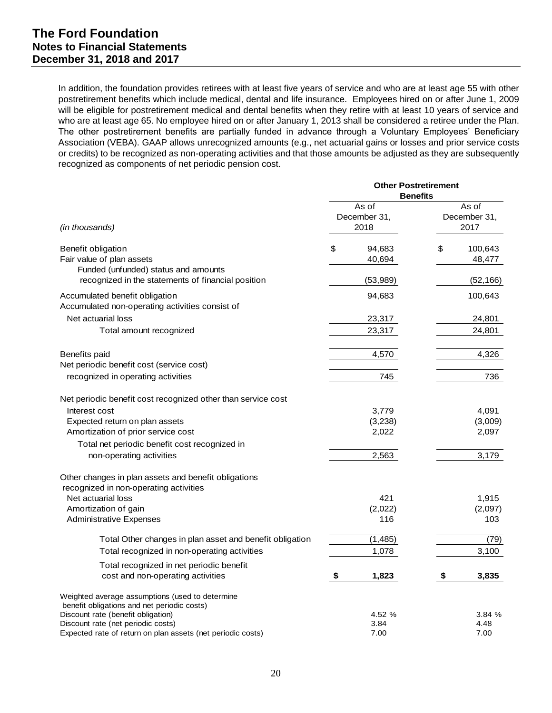In addition, the foundation provides retirees with at least five years of service and who are at least age 55 with other postretirement benefits which include medical, dental and life insurance. Employees hired on or after June 1, 2009 will be eligible for postretirement medical and dental benefits when they retire with at least 10 years of service and who are at least age 65. No employee hired on or after January 1, 2013 shall be considered a retiree under the Plan. The other postretirement benefits are partially funded in advance through a Voluntary Employees' Beneficiary Association (VEBA). GAAP allows unrecognized amounts (e.g., net actuarial gains or losses and prior service costs or credits) to be recognized as non-operating activities and that those amounts be adjusted as they are subsequently recognized as components of net periodic pension cost.

|                                                                                                | <b>Other Postretirement</b><br><b>Benefits</b> |                               |                               |                   |  |
|------------------------------------------------------------------------------------------------|------------------------------------------------|-------------------------------|-------------------------------|-------------------|--|
| (in thousands)                                                                                 |                                                | As of<br>December 31,<br>2018 | As of<br>December 31,<br>2017 |                   |  |
| Benefit obligation<br>Fair value of plan assets<br>Funded (unfunded) status and amounts        | \$                                             | 94,683<br>40,694              | \$                            | 100,643<br>48,477 |  |
| recognized in the statements of financial position                                             |                                                | (53,989)                      |                               | (52, 166)         |  |
| Accumulated benefit obligation<br>Accumulated non-operating activities consist of              |                                                | 94,683                        |                               | 100,643           |  |
| Net actuarial loss                                                                             |                                                | 23,317                        |                               | 24,801            |  |
| Total amount recognized                                                                        |                                                | 23,317                        |                               | 24,801            |  |
| Benefits paid<br>Net periodic benefit cost (service cost)                                      |                                                | 4,570                         |                               | 4,326             |  |
| recognized in operating activities                                                             |                                                | 745                           |                               | 736               |  |
| Net periodic benefit cost recognized other than service cost                                   |                                                |                               |                               |                   |  |
| Interest cost                                                                                  |                                                | 3,779                         |                               | 4,091             |  |
| Expected return on plan assets                                                                 |                                                | (3,238)                       |                               | (3,009)           |  |
| Amortization of prior service cost                                                             |                                                | 2,022                         |                               | 2,097             |  |
| Total net periodic benefit cost recognized in                                                  |                                                |                               |                               |                   |  |
| non-operating activities                                                                       |                                                | 2,563                         |                               | 3,179             |  |
| Other changes in plan assets and benefit obligations<br>recognized in non-operating activities |                                                |                               |                               |                   |  |
| Net actuarial loss                                                                             |                                                | 421                           |                               | 1,915             |  |
| Amortization of gain                                                                           |                                                | (2,022)                       |                               | (2,097)           |  |
| <b>Administrative Expenses</b>                                                                 |                                                | 116                           |                               | 103               |  |
| Total Other changes in plan asset and benefit obligation                                       |                                                | (1, 485)                      |                               | (79)              |  |
| Total recognized in non-operating activities                                                   |                                                | 1,078                         |                               | 3,100             |  |
| Total recognized in net periodic benefit<br>cost and non-operating activities                  | \$                                             | 1,823                         | \$                            | 3,835             |  |
| Weighted average assumptions (used to determine<br>benefit obligations and net periodic costs) |                                                |                               |                               |                   |  |
| Discount rate (benefit obligation)                                                             |                                                | 4.52 %                        |                               | 3.84%             |  |
| Discount rate (net periodic costs)                                                             |                                                | 3.84                          |                               | 4.48              |  |
| Expected rate of return on plan assets (net periodic costs)                                    |                                                | 7.00                          |                               | 7.00              |  |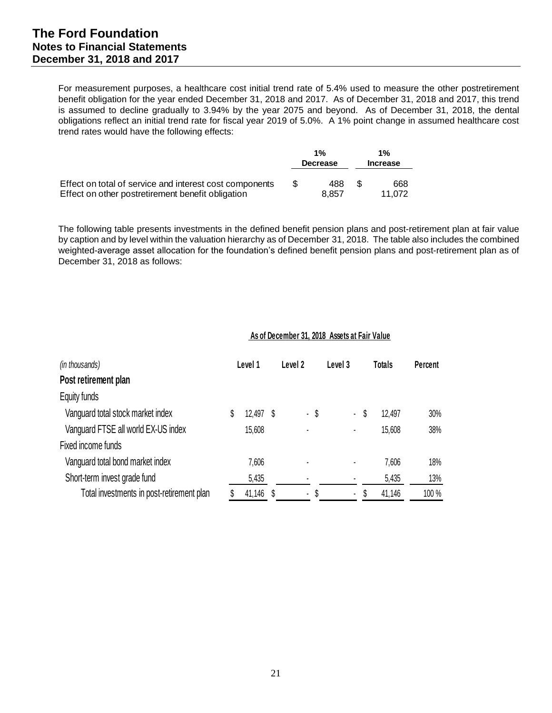# **The Ford Foundation Notes to Financial Statements December 31, 2018 and 2017**

For measurement purposes, a healthcare cost initial trend rate of 5.4% used to measure the other postretirement benefit obligation for the year ended December 31, 2018 and 2017. As of December 31, 2018 and 2017, this trend is assumed to decline gradually to 3.94% by the year 2075 and beyond. As of December 31, 2018, the dental obligations reflect an initial trend rate for fiscal year 2019 of 5.0%. A 1% point change in assumed healthcare cost trend rates would have the following effects:

|                                                         | 1% |                 | 1%              |        |  |
|---------------------------------------------------------|----|-----------------|-----------------|--------|--|
|                                                         |    | <b>Decrease</b> | <b>Increase</b> |        |  |
| Effect on total of service and interest cost components | £. | 488             | ß.              | 668    |  |
| Effect on other postretirement benefit obligation       |    | 8.857           |                 | 11.072 |  |

The following table presents investments in the defined benefit pension plans and post-retirement plan at fair value by caption and by level within the valuation hierarchy as of December 31, 2018. The table also includes the combined weighted-average asset allocation for the foundation's defined benefit pension plans and post-retirement plan as of December 31, 2018 as follows:

| (in thousands)<br>Post retirement plan    | Level 1<br>Level 2 |        | Level 3 |                | <b>Totals</b> |   | <b>Percent</b> |        |       |
|-------------------------------------------|--------------------|--------|---------|----------------|---------------|---|----------------|--------|-------|
| Equity funds                              |                    |        |         |                |               |   |                |        |       |
|                                           |                    |        |         |                |               |   |                |        |       |
| Vanguard total stock market index         | S                  | 12,497 | - S     |                | - \$          | ۰ | S              | 12.497 | 30%   |
| Vanguard FTSE all world EX-US index       |                    | 15,608 |         | ٠              |               | ٠ |                | 15,608 | 38%   |
| Fixed income funds                        |                    |        |         |                |               |   |                |        |       |
| Vanguard total bond market index          |                    | 7,606  |         | ٠              |               |   |                | 7,606  | 18%   |
| Short-term invest grade fund              |                    | 5,435  |         | ٠              |               |   |                | 5,435  | 13%   |
| Total investments in post-retirement plan |                    | 41,146 |         | $\blacksquare$ | \$            | ٠ |                | 41,146 | 100 % |

# **As of December 31, 2018 Assets at Fair Value**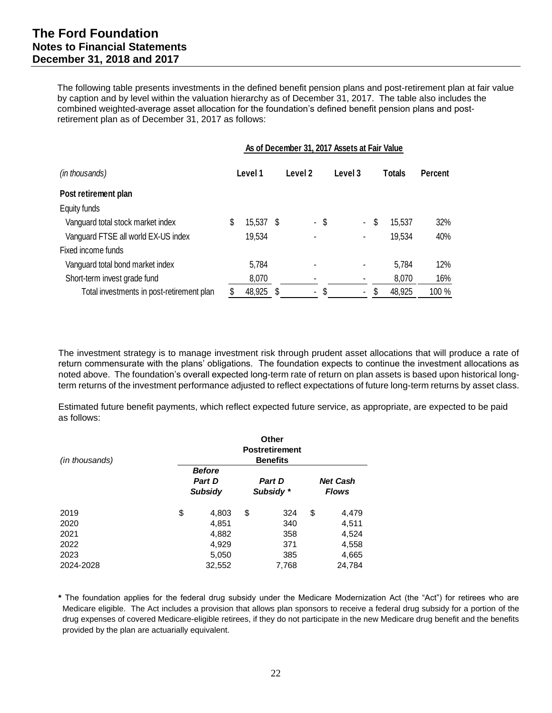The following table presents investments in the defined benefit pension plans and post-retirement plan at fair value by caption and by level within the valuation hierarchy as of December 31, 2017. The table also includes the combined weighted-average asset allocation for the foundation's defined benefit pension plans and post retirement plan as of December 31, 2017 as follows:

|                                           | As of December 31, 2017 Assets at Fair Value |         |         |                |      |                |    |               |                |  |
|-------------------------------------------|----------------------------------------------|---------|---------|----------------|------|----------------|----|---------------|----------------|--|
| (in thousands)                            |                                              | Level 1 | Level 2 |                |      | Level 3        |    | <b>Totals</b> | <b>Percent</b> |  |
| Post retirement plan                      |                                              |         |         |                |      |                |    |               |                |  |
| Equity funds                              |                                              |         |         |                |      |                |    |               |                |  |
| Vanguard total stock market index         | S                                            | 15,537  | S       |                | - \$ | $\blacksquare$ | S  | 15,537        | 32%            |  |
| Vanguard FTSE all world EX-US index       |                                              | 19,534  |         | ٠              |      |                |    | 19,534        | 40%            |  |
| Fixed income funds                        |                                              |         |         |                |      |                |    |               |                |  |
| Vanguard total bond market index          |                                              | 5,784   |         | $\blacksquare$ |      |                |    | 5,784         | 12%            |  |
| Short-term invest grade fund              |                                              | 8,070   |         | ٠              |      |                |    | 8,070         | 16%            |  |
| Total investments in post-retirement plan | S                                            | 48,925  | S       | -              | S    | $\blacksquare$ | \$ | 48,925        | 100 %          |  |

The investment strategy is to manage investment risk through prudent asset allocations that will produce a rate of return commensurate with the plans' obligations. The foundation expects to continue the investment allocations as noted above. The foundation's overall expected long-term rate of return on plan assets is based upon historical longterm returns of the investment performance adjusted to reflect expectations of future long-term returns by asset class.

Estimated future benefit payments, which reflect expected future service, as appropriate, are expected to be paid as follows:

| (in thousands) | Other<br><b>Postretirement</b><br><b>Benefits</b> |                                                  |    |                            |                                 |                |  |
|----------------|---------------------------------------------------|--------------------------------------------------|----|----------------------------|---------------------------------|----------------|--|
|                |                                                   | <b>Before</b><br><b>Part D</b><br><b>Subsidy</b> |    | <b>Part D</b><br>Subsidy * | <b>Net Cash</b><br><b>Flows</b> |                |  |
| 2019<br>2020   | \$                                                | 4,803<br>4,851                                   | \$ | 324<br>340                 | \$                              | 4,479<br>4,511 |  |
| 2021           |                                                   | 4,882                                            |    | 358                        |                                 | 4,524          |  |
| 2022           |                                                   | 4,929                                            |    | 371                        |                                 | 4,558          |  |
| 2023           |                                                   | 5,050                                            |    | 385                        |                                 | 4,665          |  |
| 2024-2028      |                                                   | 32,552                                           |    | 7,768                      |                                 | 24,784         |  |

**\*** The foundation applies for the federal drug subsidy under the Medicare Modernization Act (the "Act") for retirees who are Medicare eligible. The Act includes a provision that allows plan sponsors to receive a federal drug subsidy for a portion of the drug expenses of covered Medicare-eligible retirees, if they do not participate in the new Medicare drug benefit and the benefits provided by the plan are actuarially equivalent.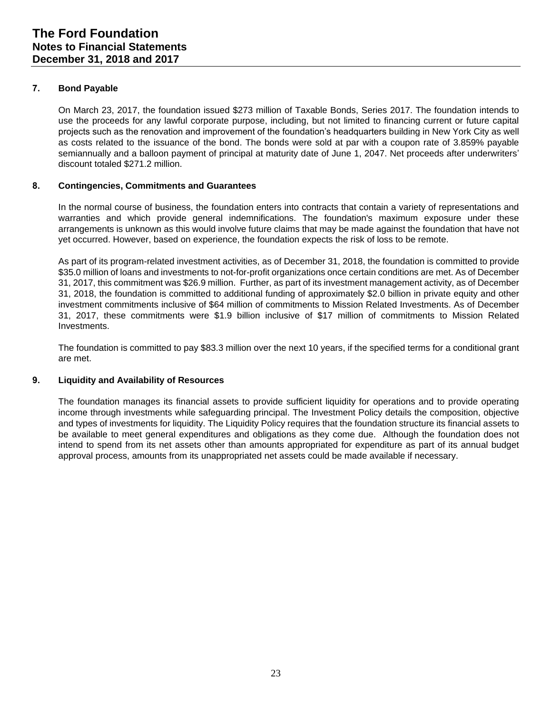## **7. Bond Payable**

On March 23, 2017, the foundation issued \$273 million of Taxable Bonds, Series 2017. The foundation intends to use the proceeds for any lawful corporate purpose, including, but not limited to financing current or future capital projects such as the renovation and improvement of the foundation's headquarters building in New York City as well as costs related to the issuance of the bond. The bonds were sold at par with a coupon rate of 3.859% payable semiannually and a balloon payment of principal at maturity date of June 1, 2047. Net proceeds after underwriters' discount totaled \$271.2 million.

#### **8. Contingencies, Commitments and Guarantees**

In the normal course of business, the foundation enters into contracts that contain a variety of representations and warranties and which provide general indemnifications. The foundation's maximum exposure under these arrangements is unknown as this would involve future claims that may be made against the foundation that have not yet occurred. However, based on experience, the foundation expects the risk of loss to be remote.

As part of its program-related investment activities, as of December 31, 2018, the foundation is committed to provide \$35.0 million of loans and investments to not-for-profit organizations once certain conditions are met. As of December 31, 2017, this commitment was \$26.9 million. Further, as part of its investment management activity, as of December 31, 2018, the foundation is committed to additional funding of approximately \$2.0 billion in private equity and other investment commitments inclusive of \$64 million of commitments to Mission Related Investments. As of December 31, 2017, these commitments were \$1.9 billion inclusive of \$17 million of commitments to Mission Related Investments.

The foundation is committed to pay \$83.3 million over the next 10 years, if the specified terms for a conditional grant are met.

#### **9. Liquidity and Availability of Resources**

The foundation manages its financial assets to provide sufficient liquidity for operations and to provide operating income through investments while safeguarding principal. The Investment Policy details the composition, objective and types of investments for liquidity. The Liquidity Policy requires that the foundation structure its financial assets to be available to meet general expenditures and obligations as they come due. Although the foundation does not intend to spend from its net assets other than amounts appropriated for expenditure as part of its annual budget approval process, amounts from its unappropriated net assets could be made available if necessary.